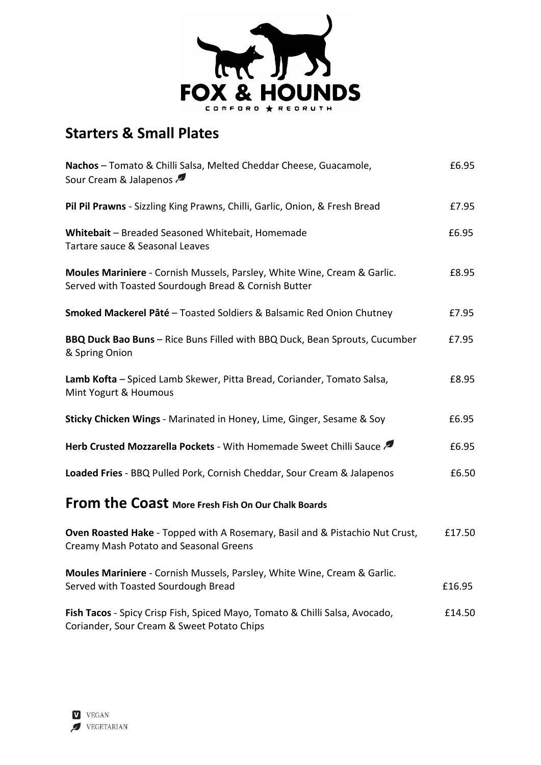

# **Starters & Small Plates**

| Nachos - Tomato & Chilli Salsa, Melted Cheddar Cheese, Guacamole,<br>Sour Cream & Jalapenos                                      | £6.95  |
|----------------------------------------------------------------------------------------------------------------------------------|--------|
| Pil Pil Prawns - Sizzling King Prawns, Chilli, Garlic, Onion, & Fresh Bread                                                      | £7.95  |
| Whitebait - Breaded Seasoned Whitebait, Homemade<br>Tartare sauce & Seasonal Leaves                                              | £6.95  |
| Moules Mariniere - Cornish Mussels, Parsley, White Wine, Cream & Garlic.<br>Served with Toasted Sourdough Bread & Cornish Butter | £8.95  |
| Smoked Mackerel Pâté - Toasted Soldiers & Balsamic Red Onion Chutney                                                             | £7.95  |
| BBQ Duck Bao Buns - Rice Buns Filled with BBQ Duck, Bean Sprouts, Cucumber<br>& Spring Onion                                     | £7.95  |
| Lamb Kofta - Spiced Lamb Skewer, Pitta Bread, Coriander, Tomato Salsa,<br>Mint Yogurt & Houmous                                  | £8.95  |
| Sticky Chicken Wings - Marinated in Honey, Lime, Ginger, Sesame & Soy                                                            | £6.95  |
| Herb Crusted Mozzarella Pockets - With Homemade Sweet Chilli Sauce                                                               | £6.95  |
| Loaded Fries - BBQ Pulled Pork, Cornish Cheddar, Sour Cream & Jalapenos                                                          | £6.50  |
| From the Coast More Fresh Fish On Our Chalk Boards                                                                               |        |
| Oven Roasted Hake - Topped with A Rosemary, Basil and & Pistachio Nut Crust,<br>Creamy Mash Potato and Seasonal Greens           | £17.50 |
| Moules Mariniere - Cornish Mussels, Parsley, White Wine, Cream & Garlic.<br>Served with Toasted Sourdough Bread                  | £16.95 |
| Fish Tacos - Spicy Crisp Fish, Spiced Mayo, Tomato & Chilli Salsa, Avocado,<br>Coriander, Sour Cream & Sweet Potato Chips        | £14.50 |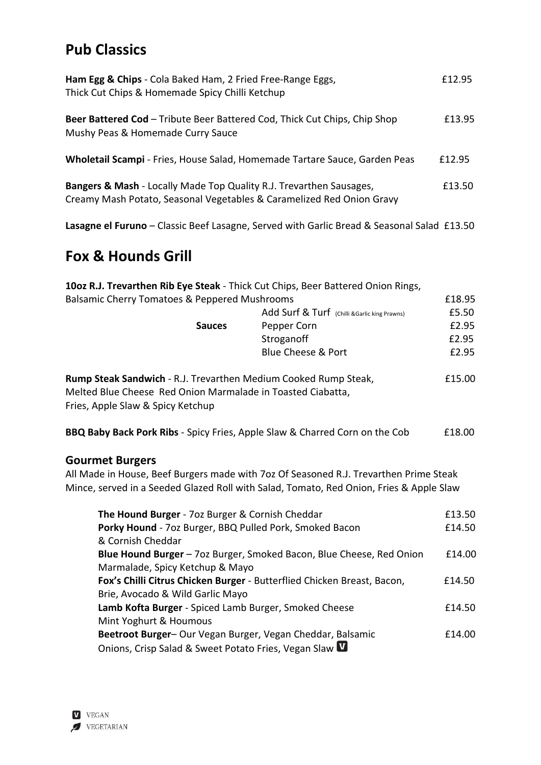# **Pub Classics**

| Ham Egg & Chips - Cola Baked Ham, 2 Fried Free-Range Eggs,<br>Thick Cut Chips & Homemade Spicy Chilli Ketchup                                           | £12.95 |
|---------------------------------------------------------------------------------------------------------------------------------------------------------|--------|
| Beer Battered Cod - Tribute Beer Battered Cod, Thick Cut Chips, Chip Shop<br>Mushy Peas & Homemade Curry Sauce                                          | £13.95 |
| Wholetail Scampi - Fries, House Salad, Homemade Tartare Sauce, Garden Peas                                                                              | £12.95 |
| <b>Bangers &amp; Mash</b> - Locally Made Top Quality R.J. Trevarthen Sausages,<br>Creamy Mash Potato, Seasonal Vegetables & Caramelized Red Onion Gravy | £13.50 |

**Lasagne el Furuno** – Classic Beef Lasagne, Served with Garlic Bread & Seasonal Salad £13.50

# **Fox & Hounds Grill**

|                                                                             | 10oz R.J. Trevarthen Rib Eye Steak - Thick Cut Chips, Beer Battered Onion Rings,        |        |
|-----------------------------------------------------------------------------|-----------------------------------------------------------------------------------------|--------|
| Balsamic Cherry Tomatoes & Peppered Mushrooms                               |                                                                                         | £18.95 |
|                                                                             | Add Surf & Turf (Chilli & Garlic king Prawns)                                           | £5.50  |
| <b>Sauces</b>                                                               | Pepper Corn                                                                             | £2.95  |
|                                                                             | Stroganoff                                                                              | £2.95  |
|                                                                             | <b>Blue Cheese &amp; Port</b>                                                           | £2.95  |
| Rump Steak Sandwich - R.J. Trevarthen Medium Cooked Rump Steak,             |                                                                                         | £15.00 |
| Melted Blue Cheese Red Onion Marmalade in Toasted Ciabatta,                 |                                                                                         |        |
| Fries, Apple Slaw & Spicy Ketchup                                           |                                                                                         |        |
| BBQ Baby Back Pork Ribs - Spicy Fries, Apple Slaw & Charred Corn on the Cob |                                                                                         | £18.00 |
| <b>Gourmet Burgers</b>                                                      |                                                                                         |        |
|                                                                             | All Made in House, Beef Burgers made with 7oz Of Seasoned R.J. Trevarthen Prime Steak   |        |
|                                                                             | Mince, served in a Seeded Glazed Roll with Salad, Tomato, Red Onion, Fries & Apple Slaw |        |
| The Hound Burger - 70z Burger & Cornish Cheddar                             |                                                                                         | £13.50 |
| Porky Hound - 7oz Burger, BBQ Pulled Pork, Smoked Bacon                     |                                                                                         | £14.50 |
| & Cornish Cheddar                                                           |                                                                                         |        |
|                                                                             | Blue Hound Burger - 70z Burger, Smoked Bacon, Blue Cheese, Red Onion                    | £14.00 |
| Marmalade, Spicy Ketchup & Mayo                                             |                                                                                         |        |
|                                                                             | Fox's Chilli Citrus Chicken Burger - Butterflied Chicken Breast, Bacon,                 | £14.50 |
| Brie, Avocado & Wild Garlic Mayo                                            |                                                                                         |        |
| Lamb Kofta Burger - Spiced Lamb Burger, Smoked Cheese                       |                                                                                         | £14.50 |
| Mint Yoghurt & Houmous                                                      |                                                                                         |        |
| Beetroot Burger- Our Vegan Burger, Vegan Cheddar, Balsamic                  |                                                                                         | £14.00 |
| Onions, Crisp Salad & Sweet Potato Fries, Vegan Slaw <b>W</b>               |                                                                                         |        |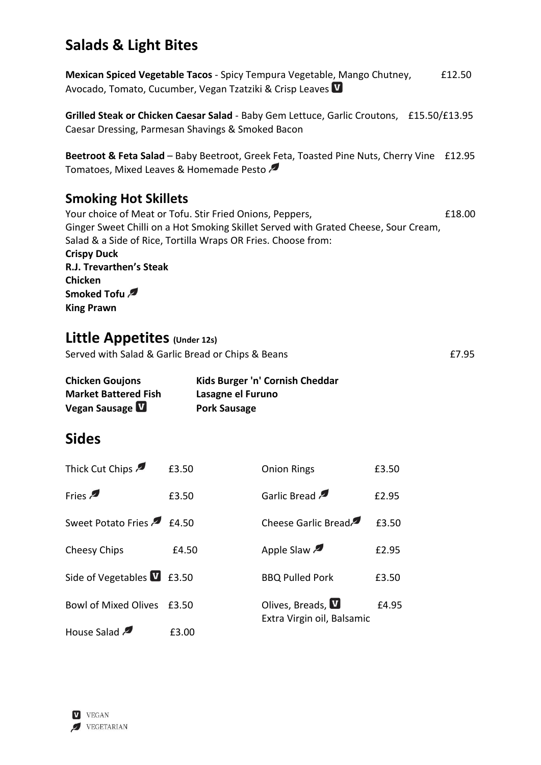# **Salads & Light Bites**

**Mexican Spiced Vegetable Tacos** - Spicy Tempura Vegetable, Mango Chutney, F12.50 Avocado, Tomato, Cucumber, Vegan Tzatziki & Crisp Leaves

**Grilled Steak or Chicken Caesar Salad** - Baby Gem Lettuce, Garlic Croutons, £15.50/£13.95 Caesar Dressing, Parmesan Shavings & Smoked Bacon

**Beetroot & Feta Salad** – Baby Beetroot, Greek Feta, Toasted Pine Nuts, Cherry Vine £12.95 Tomatoes, Mixed Leaves & Homemade Pesto

#### **Smoking Hot Skillets**

Your choice of Meat or Tofu. Stir Fried Onions, Peppers,  $£18.00$ Ginger Sweet Chilli on a Hot Smoking Skillet Served with Grated Cheese, Sour Cream, Salad & a Side of Rice, Tortilla Wraps OR Fries. Choose from: **Crispy Duck R.J. Trevarthen's Steak Chicken Smoked Tofu King Prawn**

## **Little Appetites (Under 12s)**

Served with Salad & Garlic Bread or Chips & Beans **EXALL** EXASSED FOR SALL EXASSED FOR SALL EXASSED FOR SALL EXAS

| <b>Chicken Goujons</b>      | Kids Burger 'n' Cornish Cheddar |
|-----------------------------|---------------------------------|
| <b>Market Battered Fish</b> | Lasagne el Furuno               |
| Vegan Sausage V             | <b>Pork Sausage</b>             |

## **Sides**

| Thick Cut Chips                   | £3.50 | <b>Onion Rings</b>                                     | £3.50 |
|-----------------------------------|-------|--------------------------------------------------------|-------|
| Fries                             | £3.50 | Garlic Bread                                           | £2.95 |
| Sweet Potato Fries 2 £4.50        |       | Cheese Garlic Bread                                    | £3.50 |
| Cheesy Chips                      | £4.50 | Apple Slaw                                             | £2.95 |
| Side of Vegetables <b>V</b> £3.50 |       | <b>BBQ Pulled Pork</b>                                 | £3.50 |
| <b>Bowl of Mixed Olives</b>       | £3.50 | Olives, Breads, <b>W</b><br>Extra Virgin oil, Balsamic | £4.95 |
| House Salad                       | £3.00 |                                                        |       |